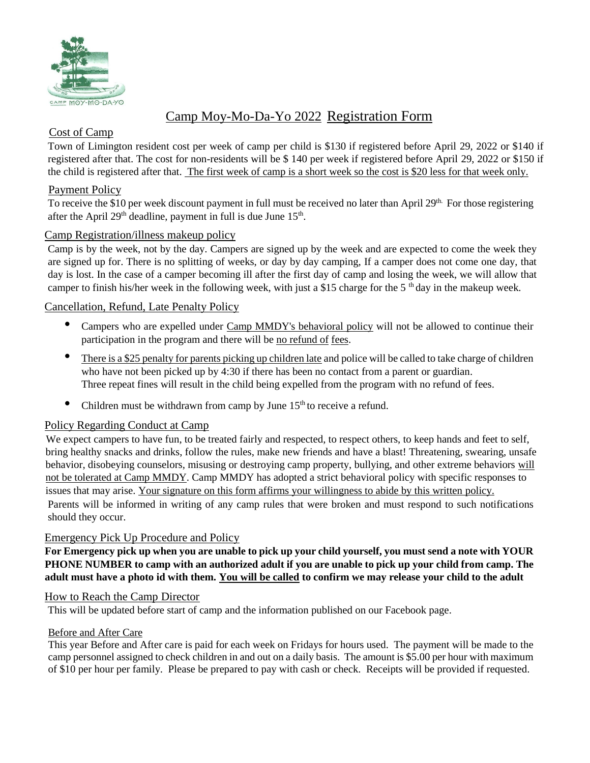

## Camp Moy-Mo-Da-Yo 2022 Registration Form

## Cost of Camp

Town of Limington resident cost per week of camp per child is \$130 if registered before April 29, 2022 or \$140 if registered after that. The cost for non-residents will be \$ 140 per week if registered before April 29, 2022 or \$150 if the child is registered after that. The first week of camp is a short week so the cost is \$20 less for that week only.

## Payment Policy

To receive the \$10 per week discount payment in full must be received no later than April 29<sup>th.</sup> For those registering after the April  $29<sup>th</sup>$  deadline, payment in full is due June  $15<sup>th</sup>$ .

## Camp Registration/illness makeup policy

Camp is by the week, not by the day. Campers are signed up by the week and are expected to come the week they are signed up for. There is no splitting of weeks, or day by day camping, If a camper does not come one day, that day is lost. In the case of a camper becoming ill after the first day of camp and losing the week, we will allow that camper to finish his/her week in the following week, with just a \$15 charge for the 5<sup>th</sup> day in the makeup week.

### Cancellation, Refund, Late Penalty Policy

- Campers who are expelled under Camp MMDY's behavioral policy will not be allowed to continue their participation in the program and there will be no refund of fees.
- There is a \$25 penalty for parents picking up children late and police will be called to take charge of children who have not been picked up by 4:30 if there has been no contact from a parent or guardian. Three repeat fines will result in the child being expelled from the program with no refund of fees.
- Children must be withdrawn from camp by June  $15<sup>th</sup>$  to receive a refund.

#### Policy Regarding Conduct at Camp

We expect campers to have fun, to be treated fairly and respected, to respect others, to keep hands and feet to self, bring healthy snacks and drinks, follow the rules, make new friends and have a blast! Threatening, swearing, unsafe behavior, disobeying counselors, misusing or destroying camp property, bullying, and other extreme behaviors will not be tolerated at Camp MMDY. Camp MMDY has adopted a strict behavioral policy with specific responses to issues that may arise. Your signature on this form affirms your willingness to abide by this written policy. Parents will be informed in writing of any camp rules that were broken and must respond to such notifications should they occur.

#### Emergency Pick Up Procedure and Policy

**For Emergency pick up when you are unable to pick up your child yourself, you must send a note with YOUR PHONE NUMBER to camp with an authorized adult if you are unable to pick up your child from camp. The adult must have a photo id with them. You will be called to confirm we may release your child to the adult**

#### How to Reach the Camp Director

This will be updated before start of camp and the information published on our Facebook page.

#### Before and After Care

This year Before and After care is paid for each week on Fridays for hours used. The payment will be made to the camp personnel assigned to check children in and out on a daily basis. The amount is \$5.00 per hour with maximum of \$10 per hour per family. Please be prepared to pay with cash or check. Receipts will be provided if requested.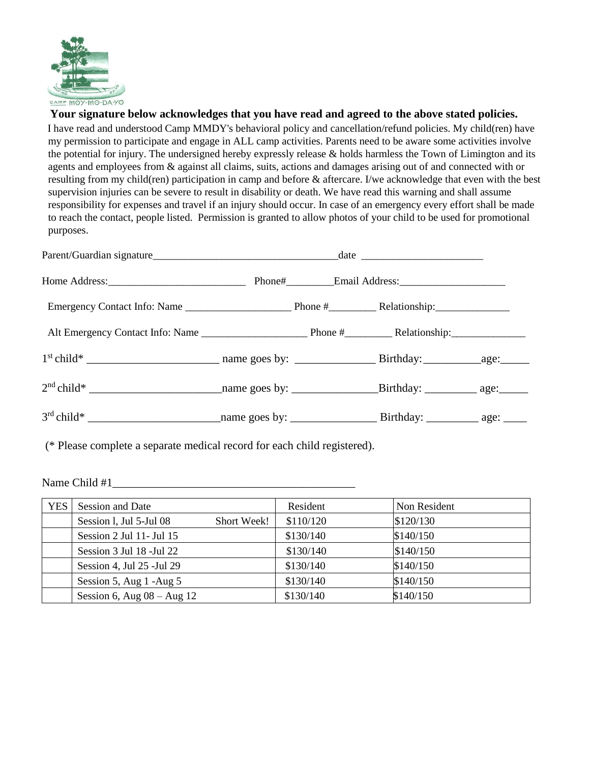

#### **Your signature below acknowledges that you have read and agreed to the above stated policies.**

I have read and understood Camp MMDY's behavioral policy and cancellation/refund policies. My child(ren) have my permission to participate and engage in ALL camp activities. Parents need to be aware some activities involve the potential for injury. The undersigned hereby expressly release & holds harmless the Town of Limington and its agents and employees from & against all claims, suits, actions and damages arising out of and connected with or resulting from my child(ren) participation in camp and before & aftercare. I/we acknowledge that even with the best supervision injuries can be severe to result in disability or death. We have read this warning and shall assume responsibility for expenses and travel if an injury should occur. In case of an emergency every effort shall be made to reach the contact, people listed. Permission is granted to allow photos of your child to be used for promotional purposes.

| Parent/Guardian signature date date |  |  |  |  |
|-------------------------------------|--|--|--|--|
|                                     |  |  |  |  |
|                                     |  |  |  |  |
|                                     |  |  |  |  |
|                                     |  |  |  |  |
|                                     |  |  |  |  |
|                                     |  |  |  |  |

(\* Please complete a separate medical record for each child registered).

Name Child #1

| <b>YES</b> | Session and Date               |             | Resident  | Non Resident |
|------------|--------------------------------|-------------|-----------|--------------|
|            | Session 1, Jul 5-Jul 08        | Short Week! | \$110/120 | \$120/130    |
|            | Session 2 Jul 11- Jul 15       |             | \$130/140 | \$140/150    |
|            | Session 3 Jul 18 - Jul 22      |             | \$130/140 | \$140/150    |
|            | Session 4, Jul 25 - Jul 29     |             | \$130/140 | \$140/150    |
|            | Session 5, Aug 1 -Aug 5        |             | \$130/140 | \$140/150    |
|            | Session 6, Aug $08 -$ Aug $12$ |             | \$130/140 | \$140/150    |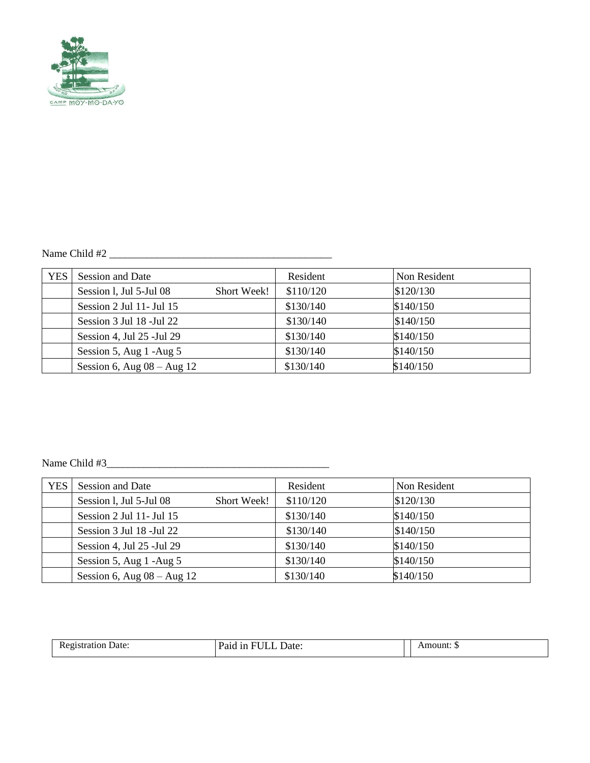

# Name Child #2 \_\_\_\_\_\_\_\_\_\_\_\_\_\_\_\_\_\_\_\_\_\_\_\_\_\_\_\_\_\_\_\_\_\_\_\_\_\_\_\_\_\_

| <b>YES</b> | Session and Date               |             | Resident  | Non Resident |
|------------|--------------------------------|-------------|-----------|--------------|
|            | Session 1, Jul 5-Jul 08        | Short Week! | \$110/120 | \$120/130    |
|            | Session 2 Jul 11- Jul 15       |             | \$130/140 | \$140/150    |
|            | Session 3 Jul 18 - Jul 22      |             | \$130/140 | \$140/150    |
|            | Session 4, Jul 25 - Jul 29     |             | \$130/140 | \$140/150    |
|            | Session 5, Aug $1 - Aug 5$     |             | \$130/140 | \$140/150    |
|            | Session 6, Aug $08 -$ Aug $12$ |             | \$130/140 | \$140/150    |

## Name Child #3\_\_\_\_\_\_\_\_\_\_\_\_\_\_\_\_\_\_\_\_\_\_\_\_\_\_\_\_\_\_\_\_\_\_\_\_\_\_\_\_\_\_

| <b>YES</b> | Session and Date               |             | Resident  | Non Resident |
|------------|--------------------------------|-------------|-----------|--------------|
|            | Session 1, Jul 5-Jul 08        | Short Week! | \$110/120 | \$120/130    |
|            | Session 2 Jul 11- Jul 15       |             | \$130/140 | \$140/150    |
|            | Session 3 Jul 18 - Jul 22      |             | \$130/140 | \$140/150    |
|            | Session 4, Jul 25 - Jul 29     |             | \$130/140 | \$140/150    |
|            | Session 5, Aug 1 -Aug 5        |             | \$130/140 | \$140/150    |
|            | Session 6, Aug $08 -$ Aug $12$ |             | \$130/140 | \$140/150    |

| Date:<br>10 r<br>- Ref | $-1$<br>Date:<br>aiu<br> |  | nount |
|------------------------|--------------------------|--|-------|
|------------------------|--------------------------|--|-------|